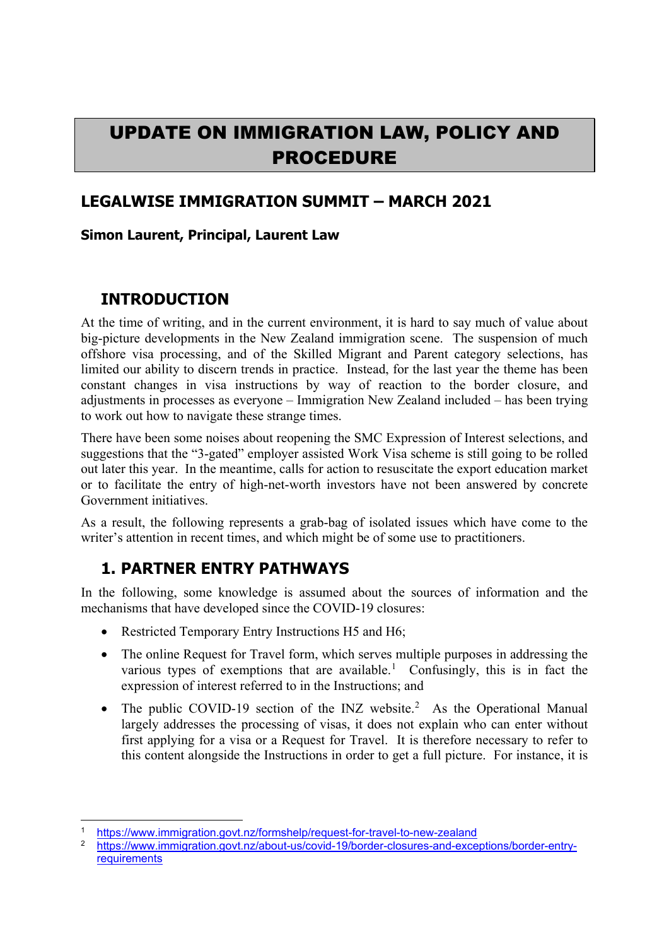# UPDATE ON IMMIGRATION LAW, POLICY AND PROCEDURE

#### **LEGALWISE IMMIGRATION SUMMIT – MARCH 2021**

#### **Simon Laurent, Principal, Laurent Law**

### **INTRODUCTION**

At the time of writing, and in the current environment, it is hard to say much of value about big-picture developments in the New Zealand immigration scene. The suspension of much offshore visa processing, and of the Skilled Migrant and Parent category selections, has limited our ability to discern trends in practice. Instead, for the last year the theme has been constant changes in visa instructions by way of reaction to the border closure, and adjustments in processes as everyone – Immigration New Zealand included – has been trying to work out how to navigate these strange times.

There have been some noises about reopening the SMC Expression of Interest selections, and suggestions that the "3-gated" employer assisted Work Visa scheme is still going to be rolled out later this year. In the meantime, calls for action to resuscitate the export education market or to facilitate the entry of high-net-worth investors have not been answered by concrete Government initiatives.

As a result, the following represents a grab-bag of isolated issues which have come to the writer's attention in recent times, and which might be of some use to practitioners.

### **1. PARTNER ENTRY PATHWAYS**

In the following, some knowledge is assumed about the sources of information and the mechanisms that have developed since the COVID-19 closures:

- Restricted Temporary Entry Instructions H5 and H6;
- The online Request for Travel form, which serves multiple purposes in addressing the various types of exemptions that are available.<sup>[1](#page-0-0)</sup> Confusingly, this is in fact the expression of interest referred to in the Instructions; and
- The public COVID-19 section of the INZ website.<sup>[2](#page-0-1)</sup> As the Operational Manual largely addresses the processing of visas, it does not explain who can enter without first applying for a visa or a Request for Travel. It is therefore necessary to refer to this content alongside the Instructions in order to get a full picture. For instance, it is

<sup>1</sup> <https://www.immigration.govt.nz/formshelp/request-for-travel-to-new-zealand>

<span id="page-0-1"></span><span id="page-0-0"></span><sup>2</sup> [https://www.immigration.govt.nz/about-us/covid-19/border-closures-and-exceptions/border-entry](https://www.immigration.govt.nz/about-us/covid-19/border-closures-and-exceptions/border-entry-requirements)[requirements](https://www.immigration.govt.nz/about-us/covid-19/border-closures-and-exceptions/border-entry-requirements)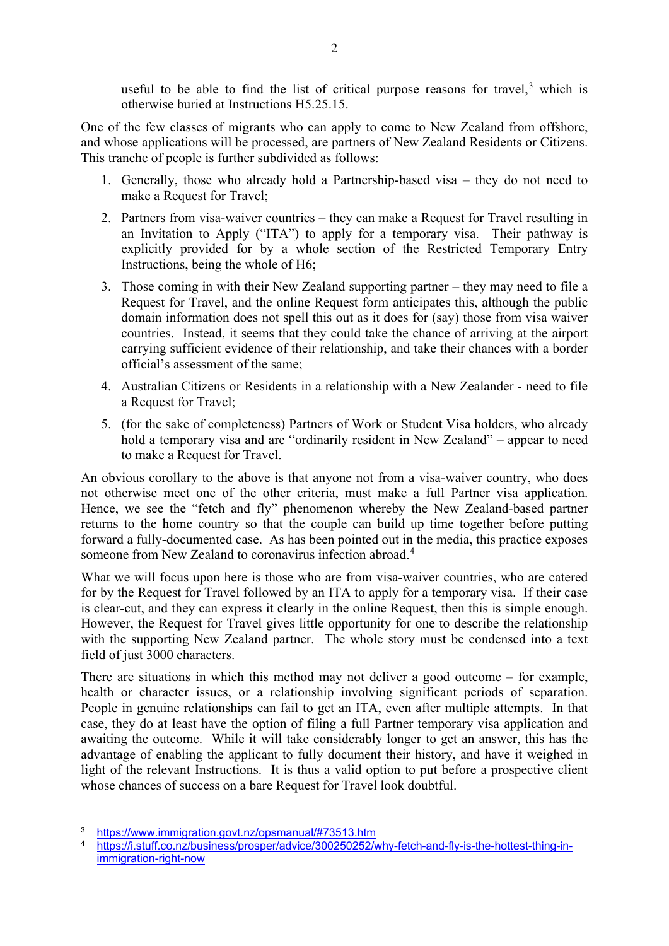useful to be able to find the list of critical purpose reasons for travel, $3$  which is otherwise buried at Instructions H5.25.15.

One of the few classes of migrants who can apply to come to New Zealand from offshore, and whose applications will be processed, are partners of New Zealand Residents or Citizens. This tranche of people is further subdivided as follows:

- 1. Generally, those who already hold a Partnership-based visa they do not need to make a Request for Travel;
- 2. Partners from visa-waiver countries they can make a Request for Travel resulting in an Invitation to Apply ("ITA") to apply for a temporary visa. Their pathway is explicitly provided for by a whole section of the Restricted Temporary Entry Instructions, being the whole of H6;
- 3. Those coming in with their New Zealand supporting partner they may need to file a Request for Travel, and the online Request form anticipates this, although the public domain information does not spell this out as it does for (say) those from visa waiver countries. Instead, it seems that they could take the chance of arriving at the airport carrying sufficient evidence of their relationship, and take their chances with a border official's assessment of the same;
- 4. Australian Citizens or Residents in a relationship with a New Zealander need to file a Request for Travel;
- 5. (for the sake of completeness) Partners of Work or Student Visa holders, who already hold a temporary visa and are "ordinarily resident in New Zealand" – appear to need to make a Request for Travel.

An obvious corollary to the above is that anyone not from a visa-waiver country, who does not otherwise meet one of the other criteria, must make a full Partner visa application. Hence, we see the "fetch and fly" phenomenon whereby the New Zealand-based partner returns to the home country so that the couple can build up time together before putting forward a fully-documented case. As has been pointed out in the media, this practice exposes someone from New Zealand to coronavirus infection abroad.<sup>[4](#page-1-1)</sup>

What we will focus upon here is those who are from visa-waiver countries, who are catered for by the Request for Travel followed by an ITA to apply for a temporary visa. If their case is clear-cut, and they can express it clearly in the online Request, then this is simple enough. However, the Request for Travel gives little opportunity for one to describe the relationship with the supporting New Zealand partner. The whole story must be condensed into a text field of just 3000 characters.

There are situations in which this method may not deliver a good outcome – for example, health or character issues, or a relationship involving significant periods of separation. People in genuine relationships can fail to get an ITA, even after multiple attempts. In that case, they do at least have the option of filing a full Partner temporary visa application and awaiting the outcome. While it will take considerably longer to get an answer, this has the advantage of enabling the applicant to fully document their history, and have it weighed in light of the relevant Instructions. It is thus a valid option to put before a prospective client whose chances of success on a bare Request for Travel look doubtful.

<span id="page-1-0"></span><sup>&</sup>lt;sup>3</sup> <https://www.immigration.govt.nz/opsmanual/#73513.htm><br>4 https://i.stuff.co.nz/business/prosper/advice/300250252/v

<span id="page-1-1"></span>[https://i.stuff.co.nz/business/prosper/advice/300250252/why-fetch-and-fly-is-the-hottest-thing-in](https://i.stuff.co.nz/business/prosper/advice/300250252/why-fetch-and-fly-is-the-hottest-thing-in-immigration-right-now)[immigration-right-now](https://i.stuff.co.nz/business/prosper/advice/300250252/why-fetch-and-fly-is-the-hottest-thing-in-immigration-right-now)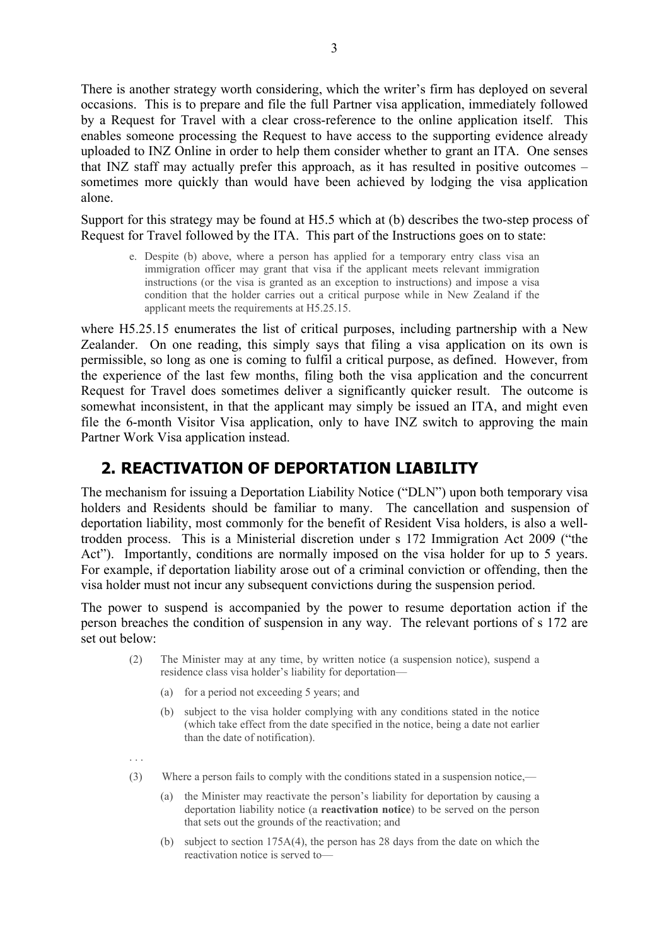There is another strategy worth considering, which the writer's firm has deployed on several occasions. This is to prepare and file the full Partner visa application, immediately followed by a Request for Travel with a clear cross-reference to the online application itself. This enables someone processing the Request to have access to the supporting evidence already uploaded to INZ Online in order to help them consider whether to grant an ITA. One senses that INZ staff may actually prefer this approach, as it has resulted in positive outcomes – sometimes more quickly than would have been achieved by lodging the visa application alone.

Support for this strategy may be found at H5.5 which at (b) describes the two-step process of Request for Travel followed by the ITA. This part of the Instructions goes on to state:

e. Despite (b) above, where a person has applied for a temporary entry class visa an immigration officer may grant that visa if the applicant meets relevant immigration instructions (or the visa is granted as an exception to instructions) and impose a visa condition that the holder carries out a critical purpose while in New Zealand if the applicant meets the requirements at H5.25.15.

where H5.25.15 enumerates the list of critical purposes, including partnership with a New Zealander. On one reading, this simply says that filing a visa application on its own is permissible, so long as one is coming to fulfil a critical purpose, as defined. However, from the experience of the last few months, filing both the visa application and the concurrent Request for Travel does sometimes deliver a significantly quicker result. The outcome is somewhat inconsistent, in that the applicant may simply be issued an ITA, and might even file the 6-month Visitor Visa application, only to have INZ switch to approving the main Partner Work Visa application instead.

### **2. REACTIVATION OF DEPORTATION LIABILITY**

The mechanism for issuing a Deportation Liability Notice ("DLN") upon both temporary visa holders and Residents should be familiar to many. The cancellation and suspension of deportation liability, most commonly for the benefit of Resident Visa holders, is also a welltrodden process. This is a Ministerial discretion under s 172 Immigration Act 2009 ("the Act"). Importantly, conditions are normally imposed on the visa holder for up to 5 years. For example, if deportation liability arose out of a criminal conviction or offending, then the visa holder must not incur any subsequent convictions during the suspension period.

The power to suspend is accompanied by the power to resume deportation action if the person breaches the condition of suspension in any way. The relevant portions of s 172 are set out below:

- (2) The Minister may at any time, by written notice (a suspension notice), suspend a residence class visa holder's liability for deportation—
	- (a) for a period not exceeding 5 years; and
	- (b) subject to the visa holder complying with any conditions stated in the notice (which take effect from the date specified in the notice, being a date not earlier than the date of notification).
- . . .
- (3) Where a person fails to comply with the conditions stated in a suspension notice,—
	- (a) the Minister may reactivate the person's liability for deportation by causing a deportation liability notice (a **reactivation notice**) to be served on the person that sets out the grounds of the reactivation; and
	- (b) subject to section 175A(4), the person has 28 days from the date on which the reactivation notice is served to—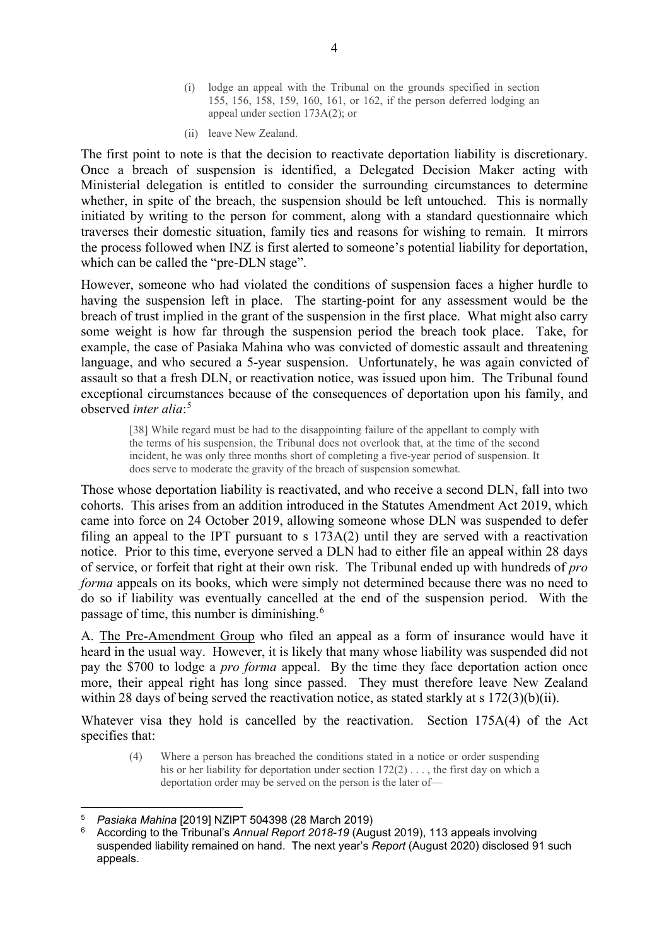- (i) lodge an appeal with the Tribunal on the grounds specified in section 155, 156, 158, 159, 160, 161, or 162, if the person deferred lodging an appeal under section 173A(2); or
- (ii) leave New Zealand.

The first point to note is that the decision to reactivate deportation liability is discretionary. Once a breach of suspension is identified, a Delegated Decision Maker acting with Ministerial delegation is entitled to consider the surrounding circumstances to determine whether, in spite of the breach, the suspension should be left untouched. This is normally initiated by writing to the person for comment, along with a standard questionnaire which traverses their domestic situation, family ties and reasons for wishing to remain. It mirrors the process followed when INZ is first alerted to someone's potential liability for deportation, which can be called the "pre-DLN stage".

However, someone who had violated the conditions of suspension faces a higher hurdle to having the suspension left in place. The starting-point for any assessment would be the breach of trust implied in the grant of the suspension in the first place. What might also carry some weight is how far through the suspension period the breach took place. Take, for example, the case of Pasiaka Mahina who was convicted of domestic assault and threatening language, and who secured a 5-year suspension. Unfortunately, he was again convicted of assault so that a fresh DLN, or reactivation notice, was issued upon him. The Tribunal found exceptional circumstances because of the consequences of deportation upon his family, and observed *inter alia*: [5](#page-3-0)

<span id="page-3-2"></span>[38] While regard must be had to the disappointing failure of the appellant to comply with the terms of his suspension, the Tribunal does not overlook that, at the time of the second incident, he was only three months short of completing a five-year period of suspension. It does serve to moderate the gravity of the breach of suspension somewhat.

Those whose deportation liability is reactivated, and who receive a second DLN, fall into two cohorts. This arises from an addition introduced in the Statutes Amendment Act 2019, which came into force on 24 October 2019, allowing someone whose DLN was suspended to defer filing an appeal to the IPT pursuant to s 173A(2) until they are served with a reactivation notice. Prior to this time, everyone served a DLN had to either file an appeal within 28 days of service, or forfeit that right at their own risk. The Tribunal ended up with hundreds of *pro forma* appeals on its books, which were simply not determined because there was no need to do so if liability was eventually cancelled at the end of the suspension period. With the passage of time, this number is diminishing.[6](#page-3-1)

A. The Pre-Amendment Group who filed an appeal as a form of insurance would have it heard in the usual way. However, it is likely that many whose liability was suspended did not pay the \$700 to lodge a *pro forma* appeal. By the time they face deportation action once more, their appeal right has long since passed. They must therefore leave New Zealand within 28 days of being served the reactivation notice, as stated starkly at s 172(3)(b)(ii).

Whatever visa they hold is cancelled by the reactivation. Section 175A(4) of the Act specifies that:

(4) Where a person has breached the conditions stated in a notice or order suspending his or her liability for deportation under section  $172(2)$ ..., the first day on which a deportation order may be served on the person is the later of—

<span id="page-3-0"></span><sup>5</sup> *Pasiaka Mahina* [2019] NZIPT 504398 (28 March 2019)

<span id="page-3-1"></span><sup>6</sup> According to the Tribunal's *Annual Report 2018-19* (August 2019), 113 appeals involving suspended liability remained on hand. The next year's *Report* (August 2020) disclosed 91 such appeals.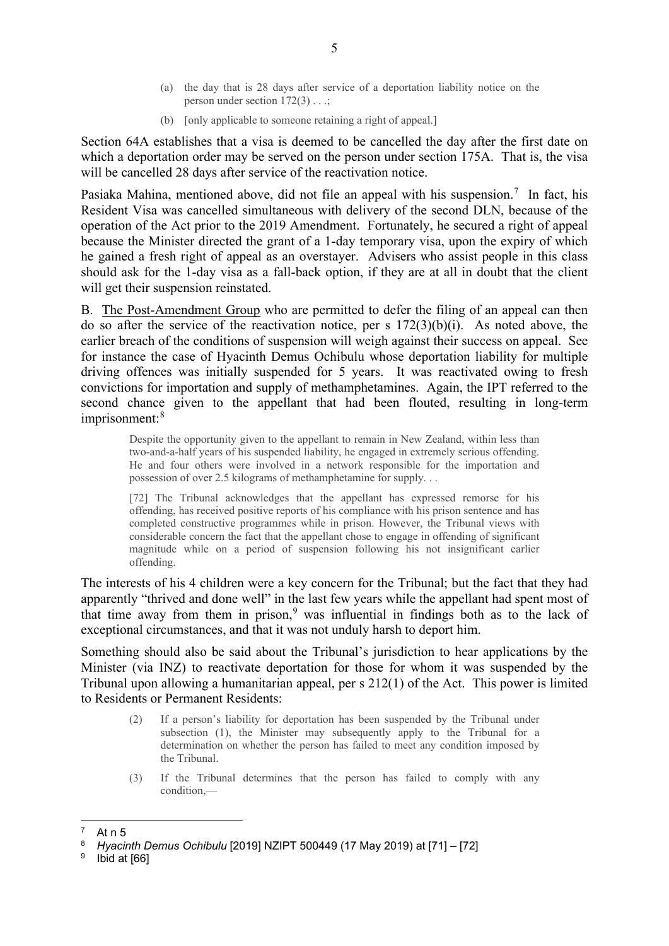- (a) the day that is 28 days after service of a deportation liability notice on the person under section 172(3) . . .;
- (b) [only applicable to someone retaining a right of appeal.]

Section 64A establishes that a visa is deemed to be cancelled the day after the first date on which a deportation order may be served on the person under section 175A. That is, the visa will be cancelled 28 days after service of the reactivation notice.

Pasiaka Mahina, mentioned above, did not file an appeal with his suspension.<sup>[7](#page-4-0)</sup> In fact, his Resident Visa was cancelled simultaneous with delivery of the second DLN, because of the operation of the Act prior to the 2019 Amendment. Fortunately, he secured a right of appeal because the Minister directed the grant of a 1-day temporary visa, upon the expiry of which he gained a fresh right of appeal as an overstayer. Advisers who assist people in this class should ask for the 1-day visa as a fall-back option, if they are at all in doubt that the client will get their suspension reinstated.

B. The Post-Amendment Group who are permitted to defer the filing of an appeal can then do so after the service of the reactivation notice, per s  $172(3)(b)(i)$ . As noted above, the earlier breach of the conditions of suspension will weigh against their success on appeal. See for instance the case of Hyacinth Demus Ochibulu whose deportation liability for multiple driving offences was initially suspended for 5 years. It was reactivated owing to fresh convictions for importation and supply of methamphetamines. Again, the IPT referred to the second chance given to the appellant that had been flouted, resulting in long-term imprisonment: [8](#page-4-1)

Despite the opportunity given to the appellant to remain in New Zealand, within less than two-and-a-half years of his suspended liability, he engaged in extremely serious offending. He and four others were involved in a network responsible for the importation and possession of over 2.5 kilograms of methamphetamine for supply. . .

[72] The Tribunal acknowledges that the appellant has expressed remorse for his offending, has received positive reports of his compliance with his prison sentence and has completed constructive programmes while in prison. However, the Tribunal views with considerable concern the fact that the appellant chose to engage in offending of significant magnitude while on a period of suspension following his not insignificant earlier offending.

The interests of his 4 children were a key concern for the Tribunal; but the fact that they had apparently "thrived and done well" in the last few years while the appellant had spent most of that time away from them in prison, $9$  was influential in findings both as to the lack of exceptional circumstances, and that it was not unduly harsh to deport him.

Something should also be said about the Tribunal's jurisdiction to hear applications by the Minister (via INZ) to reactivate deportation for those for whom it was suspended by the Tribunal upon allowing a humanitarian appeal, per s 212(1) of the Act. This power is limited to Residents or Permanent Residents:

- (2) If a person's liability for deportation has been suspended by the Tribunal under subsection (1), the Minister may subsequently apply to the Tribunal for a determination on whether the person has failed to meet any condition imposed by the Tribunal.
- (3) If the Tribunal determines that the person has failed to comply with any condition,—

<span id="page-4-0"></span> $7$  At n [5](#page-3-2)

<span id="page-4-1"></span><sup>8</sup> *Hyacinth Demus Ochibulu* [2019] NZIPT 500449 (17 May 2019) at [71] – [72]

<span id="page-4-2"></span> $9$  Ibid at [66]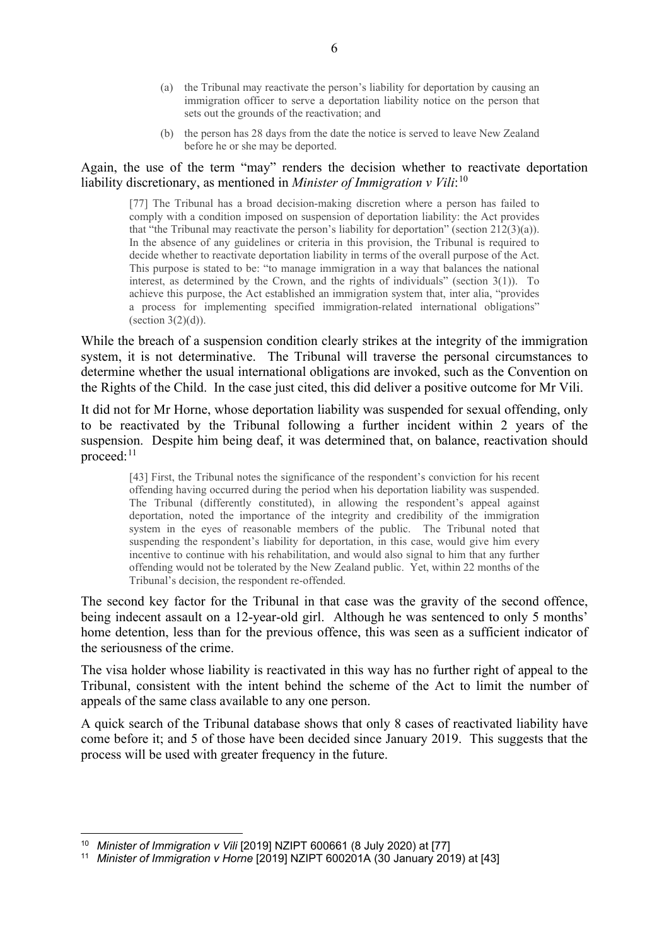- (a) the Tribunal may reactivate the person's liability for deportation by causing an immigration officer to serve a deportation liability notice on the person that sets out the grounds of the reactivation; and
- (b) the person has 28 days from the date the notice is served to leave New Zealand before he or she may be deported.

#### Again, the use of the term "may" renders the decision whether to reactivate deportation liability discretionary, as mentioned in *Minister of Immigration v Vili*: [10](#page-5-0)

[77] The Tribunal has a broad decision-making discretion where a person has failed to comply with a condition imposed on suspension of deportation liability: the Act provides that "the Tribunal may reactivate the person's liability for deportation" (section  $212(3)(a)$ ). In the absence of any guidelines or criteria in this provision, the Tribunal is required to decide whether to reactivate deportation liability in terms of the overall purpose of the Act. This purpose is stated to be: "to manage immigration in a way that balances the national interest, as determined by the Crown, and the rights of individuals" (section 3(1)). To achieve this purpose, the Act established an immigration system that, inter alia, "provides a process for implementing specified immigration-related international obligations" (section  $3(2)(d)$ ).

While the breach of a suspension condition clearly strikes at the integrity of the immigration system, it is not determinative. The Tribunal will traverse the personal circumstances to determine whether the usual international obligations are invoked, such as the Convention on the Rights of the Child. In the case just cited, this did deliver a positive outcome for Mr Vili.

It did not for Mr Horne, whose deportation liability was suspended for sexual offending, only to be reactivated by the Tribunal following a further incident within 2 years of the suspension. Despite him being deaf, it was determined that, on balance, reactivation should proceed:<sup>[11](#page-5-1)</sup>

[43] First, the Tribunal notes the significance of the respondent's conviction for his recent offending having occurred during the period when his deportation liability was suspended. The Tribunal (differently constituted), in allowing the respondent's appeal against deportation, noted the importance of the integrity and credibility of the immigration system in the eyes of reasonable members of the public. The Tribunal noted that suspending the respondent's liability for deportation, in this case, would give him every incentive to continue with his rehabilitation, and would also signal to him that any further offending would not be tolerated by the New Zealand public. Yet, within 22 months of the Tribunal's decision, the respondent re-offended.

The second key factor for the Tribunal in that case was the gravity of the second offence, being indecent assault on a 12-year-old girl. Although he was sentenced to only 5 months' home detention, less than for the previous offence, this was seen as a sufficient indicator of the seriousness of the crime.

The visa holder whose liability is reactivated in this way has no further right of appeal to the Tribunal, consistent with the intent behind the scheme of the Act to limit the number of appeals of the same class available to any one person.

A quick search of the Tribunal database shows that only 8 cases of reactivated liability have come before it; and 5 of those have been decided since January 2019. This suggests that the process will be used with greater frequency in the future.

<sup>&</sup>lt;sup>10</sup> Minister of Immigration v Vili [2019] NZIPT 600661 (8 July 2020) at [77]

<span id="page-5-1"></span><span id="page-5-0"></span><sup>11</sup> *Minister of Immigration v Horne* [2019] NZIPT 600201A (30 January 2019) at [43]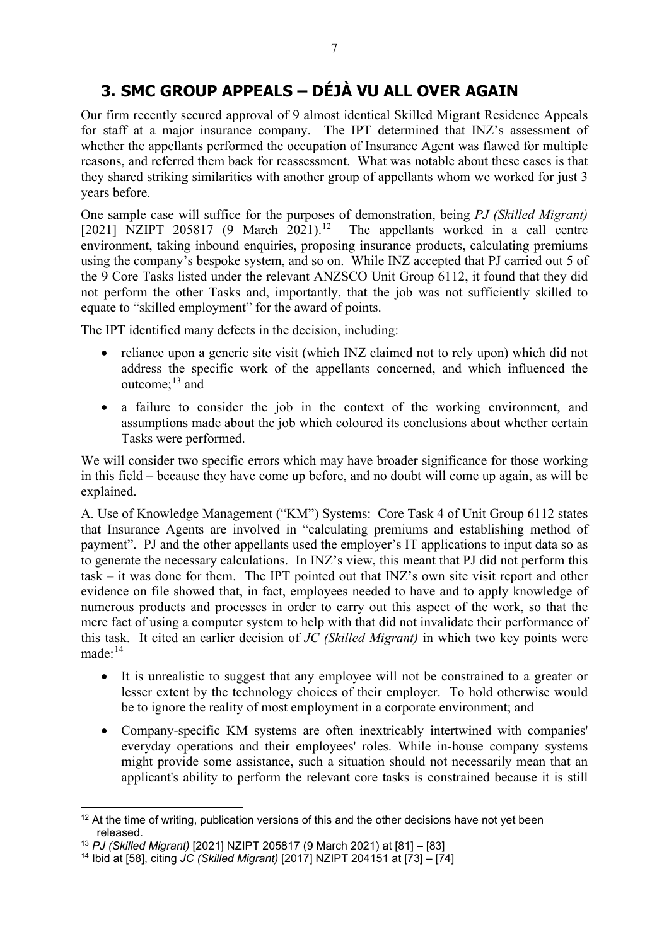## **3. SMC GROUP APPEALS – DÉJÀ VU ALL OVER AGAIN**

Our firm recently secured approval of 9 almost identical Skilled Migrant Residence Appeals for staff at a major insurance company. The IPT determined that INZ's assessment of whether the appellants performed the occupation of Insurance Agent was flawed for multiple reasons, and referred them back for reassessment. What was notable about these cases is that they shared striking similarities with another group of appellants whom we worked for just 3 years before.

One sample case will suffice for the purposes of demonstration, being *PJ (Skilled Migrant)* [2021] NZIPT 205817 (9 March 2021).<sup>12</sup> The appellants worked in a call centre environment, taking inbound enquiries, proposing insurance products, calculating premiums using the company's bespoke system, and so on. While INZ accepted that PJ carried out 5 of the 9 Core Tasks listed under the relevant ANZSCO Unit Group 6112, it found that they did not perform the other Tasks and, importantly, that the job was not sufficiently skilled to equate to "skilled employment" for the award of points.

The IPT identified many defects in the decision, including:

- reliance upon a generic site visit (which INZ claimed not to rely upon) which did not address the specific work of the appellants concerned, and which influenced the outcome; [13](#page-6-1) and
- a failure to consider the job in the context of the working environment, and assumptions made about the job which coloured its conclusions about whether certain Tasks were performed.

We will consider two specific errors which may have broader significance for those working in this field – because they have come up before, and no doubt will come up again, as will be explained.

A. Use of Knowledge Management ("KM") Systems: Core Task 4 of Unit Group 6112 states that Insurance Agents are involved in "calculating premiums and establishing method of payment". PJ and the other appellants used the employer's IT applications to input data so as to generate the necessary calculations. In INZ's view, this meant that PJ did not perform this task – it was done for them. The IPT pointed out that INZ's own site visit report and other evidence on file showed that, in fact, employees needed to have and to apply knowledge of numerous products and processes in order to carry out this aspect of the work, so that the mere fact of using a computer system to help with that did not invalidate their performance of this task. It cited an earlier decision of *JC (Skilled Migrant)* in which two key points were  $made:$ <sup>[14](#page-6-2)</sup>

- It is unrealistic to suggest that any employee will not be constrained to a greater or lesser extent by the technology choices of their employer. To hold otherwise would be to ignore the reality of most employment in a corporate environment; and
- Company-specific KM systems are often inextricably intertwined with companies' everyday operations and their employees' roles. While in-house company systems might provide some assistance, such a situation should not necessarily mean that an applicant's ability to perform the relevant core tasks is constrained because it is still

<span id="page-6-0"></span> $12$  At the time of writing, publication versions of this and the other decisions have not yet been released.

<span id="page-6-1"></span><sup>13</sup> *PJ (Skilled Migrant)* [2021] NZIPT 205817 (9 March 2021) at [81] – [83]

<span id="page-6-2"></span><sup>14</sup> Ibid at [58], citing *JC (Skilled Migrant)* [2017] NZIPT 204151 at [73] – [74]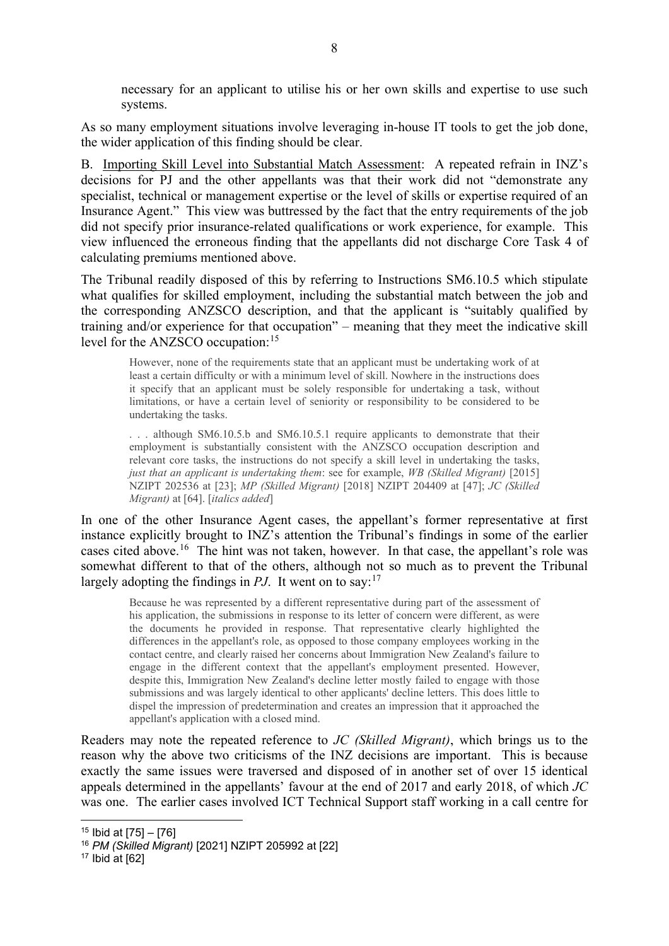necessary for an applicant to utilise his or her own skills and expertise to use such systems.

As so many employment situations involve leveraging in-house IT tools to get the job done, the wider application of this finding should be clear.

B. Importing Skill Level into Substantial Match Assessment: A repeated refrain in INZ's decisions for PJ and the other appellants was that their work did not "demonstrate any specialist, technical or management expertise or the level of skills or expertise required of an Insurance Agent." This view was buttressed by the fact that the entry requirements of the job did not specify prior insurance-related qualifications or work experience, for example. This view influenced the erroneous finding that the appellants did not discharge Core Task 4 of calculating premiums mentioned above.

The Tribunal readily disposed of this by referring to Instructions SM6.10.5 which stipulate what qualifies for skilled employment, including the substantial match between the job and the corresponding ANZSCO description, and that the applicant is "suitably qualified by training and/or experience for that occupation" – meaning that they meet the indicative skill level for the ANZSCO occupation:<sup>[15](#page-7-0)</sup>

However, none of the requirements state that an applicant must be undertaking work of at least a certain difficulty or with a minimum level of skill. Nowhere in the instructions does it specify that an applicant must be solely responsible for undertaking a task, without limitations, or have a certain level of seniority or responsibility to be considered to be undertaking the tasks.

. . . although SM6.10.5.b and SM6.10.5.1 require applicants to demonstrate that their employment is substantially consistent with the ANZSCO occupation description and relevant core tasks, the instructions do not specify a skill level in undertaking the tasks, *just that an applicant is undertaking them*: see for example, *WB (Skilled Migrant)* [2015] NZIPT 202536 at [23]; *MP (Skilled Migrant)* [2018] NZIPT 204409 at [47]; *JC (Skilled Migrant)* at [64]. [*italics added*]

In one of the other Insurance Agent cases, the appellant's former representative at first instance explicitly brought to INZ's attention the Tribunal's findings in some of the earlier cases cited above.<sup>[16](#page-7-1)</sup> The hint was not taken, however. In that case, the appellant's role was somewhat different to that of the others, although not so much as to prevent the Tribunal largely adopting the findings in  $PJ$ . It went on to say:<sup>[17](#page-7-2)</sup>

Because he was represented by a different representative during part of the assessment of his application, the submissions in response to its letter of concern were different, as were the documents he provided in response. That representative clearly highlighted the differences in the appellant's role, as opposed to those company employees working in the contact centre, and clearly raised her concerns about Immigration New Zealand's failure to engage in the different context that the appellant's employment presented. However, despite this, Immigration New Zealand's decline letter mostly failed to engage with those submissions and was largely identical to other applicants' decline letters. This does little to dispel the impression of predetermination and creates an impression that it approached the appellant's application with a closed mind.

Readers may note the repeated reference to *JC (Skilled Migrant)*, which brings us to the reason why the above two criticisms of the INZ decisions are important. This is because exactly the same issues were traversed and disposed of in another set of over 15 identical appeals determined in the appellants' favour at the end of 2017 and early 2018, of which *JC* was one. The earlier cases involved ICT Technical Support staff working in a call centre for

<span id="page-7-0"></span><sup>15</sup> Ibid at [75] – [76]

<span id="page-7-1"></span><sup>16</sup> *PM (Skilled Migrant)* [2021] NZIPT 205992 at [22]

<span id="page-7-2"></span> $17$  Ibid at  $[62]$